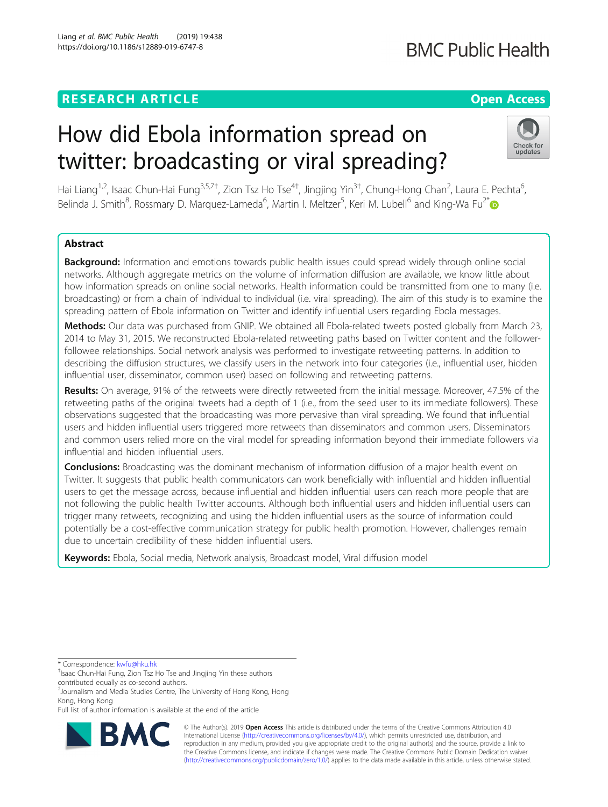## **RESEARCH ARTICLE Example 2018 12:30 THE OPEN ACCESS**

## **BMC Public Health**

# How did Ebola information spread on twitter: broadcasting or viral spreading?



Hai Liang<sup>1,2</sup>, Isaac Chun-Hai Fung<sup>3,5,7†</sup>, Zion Tsz Ho Tse<sup>4†</sup>, Jingjing Yin<sup>3†</sup>, Chung-Hong Chan<sup>2</sup>, Laura E. Pechta<sup>6</sup> , Belinda J. Smith<sup>8</sup>, Rossmary D. Marquez-Lameda<sup>6</sup>, Martin I. Meltzer<sup>5</sup>, Keri M. Lubell<sup>6</sup> and King-Wa Fu<sup>2\*</sup>

## Abstract

Background: Information and emotions towards public health issues could spread widely through online social networks. Although aggregate metrics on the volume of information diffusion are available, we know little about how information spreads on online social networks. Health information could be transmitted from one to many (i.e. broadcasting) or from a chain of individual to individual (i.e. viral spreading). The aim of this study is to examine the spreading pattern of Ebola information on Twitter and identify influential users regarding Ebola messages.

Methods: Our data was purchased from GNIP. We obtained all Ebola-related tweets posted globally from March 23, 2014 to May 31, 2015. We reconstructed Ebola-related retweeting paths based on Twitter content and the followerfollowee relationships. Social network analysis was performed to investigate retweeting patterns. In addition to describing the diffusion structures, we classify users in the network into four categories (i.e., influential user, hidden influential user, disseminator, common user) based on following and retweeting patterns.

Results: On average, 91% of the retweets were directly retweeted from the initial message. Moreover, 47.5% of the retweeting paths of the original tweets had a depth of 1 (i.e., from the seed user to its immediate followers). These observations suggested that the broadcasting was more pervasive than viral spreading. We found that influential users and hidden influential users triggered more retweets than disseminators and common users. Disseminators and common users relied more on the viral model for spreading information beyond their immediate followers via influential and hidden influential users.

**Conclusions:** Broadcasting was the dominant mechanism of information diffusion of a major health event on Twitter. It suggests that public health communicators can work beneficially with influential and hidden influential users to get the message across, because influential and hidden influential users can reach more people that are not following the public health Twitter accounts. Although both influential users and hidden influential users can trigger many retweets, recognizing and using the hidden influential users as the source of information could potentially be a cost-effective communication strategy for public health promotion. However, challenges remain due to uncertain credibility of these hidden influential users.

Keywords: Ebola, Social media, Network analysis, Broadcast model, Viral diffusion model

\* Correspondence: [kwfu@hku.hk](mailto:kwfu@hku.hk) †

<sup>2</sup> Journalism and Media Studies Centre, The University of Hong Kong, Hong Kong, Hong Kong

Full list of author information is available at the end of the article



© The Author(s). 2019 **Open Access** This article is distributed under the terms of the Creative Commons Attribution 4.0 International License [\(http://creativecommons.org/licenses/by/4.0/](http://creativecommons.org/licenses/by/4.0/)), which permits unrestricted use, distribution, and reproduction in any medium, provided you give appropriate credit to the original author(s) and the source, provide a link to the Creative Commons license, and indicate if changes were made. The Creative Commons Public Domain Dedication waiver [\(http://creativecommons.org/publicdomain/zero/1.0/](http://creativecommons.org/publicdomain/zero/1.0/)) applies to the data made available in this article, unless otherwise stated.

<sup>&</sup>lt;sup>T</sup>Isaac Chun-Hai Fung, Zion Tsz Ho Tse and Jingjing Yin these authors contributed equally as co-second authors.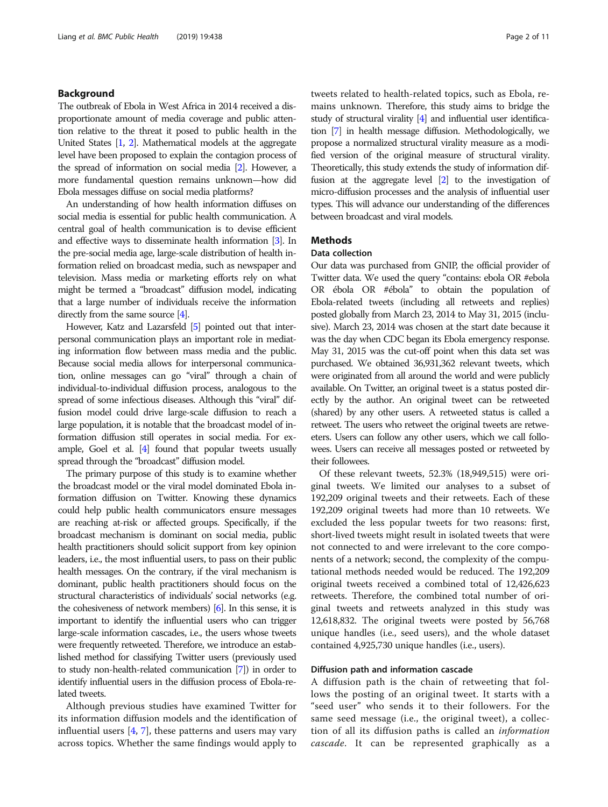## Background

The outbreak of Ebola in West Africa in 2014 received a disproportionate amount of media coverage and public attention relative to the threat it posed to public health in the United States [\[1](#page-10-0), [2\]](#page-10-0). Mathematical models at the aggregate level have been proposed to explain the contagion process of the spread of information on social media [[2](#page-10-0)]. However, a more fundamental question remains unknown—how did Ebola messages diffuse on social media platforms?

An understanding of how health information diffuses on social media is essential for public health communication. A central goal of health communication is to devise efficient and effective ways to disseminate health information [\[3\]](#page-10-0). In the pre-social media age, large-scale distribution of health information relied on broadcast media, such as newspaper and television. Mass media or marketing efforts rely on what might be termed a "broadcast" diffusion model, indicating that a large number of individuals receive the information directly from the same source [\[4\]](#page-10-0).

However, Katz and Lazarsfeld [\[5\]](#page-10-0) pointed out that interpersonal communication plays an important role in mediating information flow between mass media and the public. Because social media allows for interpersonal communication, online messages can go "viral" through a chain of individual-to-individual diffusion process, analogous to the spread of some infectious diseases. Although this "viral" diffusion model could drive large-scale diffusion to reach a large population, it is notable that the broadcast model of information diffusion still operates in social media. For example, Goel et al. [\[4\]](#page-10-0) found that popular tweets usually spread through the "broadcast" diffusion model.

The primary purpose of this study is to examine whether the broadcast model or the viral model dominated Ebola information diffusion on Twitter. Knowing these dynamics could help public health communicators ensure messages are reaching at-risk or affected groups. Specifically, if the broadcast mechanism is dominant on social media, public health practitioners should solicit support from key opinion leaders, i.e., the most influential users, to pass on their public health messages. On the contrary, if the viral mechanism is dominant, public health practitioners should focus on the structural characteristics of individuals' social networks (e.g. the cohesiveness of network members) [\[6](#page-10-0)]. In this sense, it is important to identify the influential users who can trigger large-scale information cascades, i.e., the users whose tweets were frequently retweeted. Therefore, we introduce an established method for classifying Twitter users (previously used to study non-health-related communication [\[7\]](#page-10-0)) in order to identify influential users in the diffusion process of Ebola-related tweets.

Although previous studies have examined Twitter for its information diffusion models and the identification of influential users  $[4, 7]$  $[4, 7]$  $[4, 7]$  $[4, 7]$ , these patterns and users may vary across topics. Whether the same findings would apply to tweets related to health-related topics, such as Ebola, remains unknown. Therefore, this study aims to bridge the study of structural virality [\[4\]](#page-10-0) and influential user identification [\[7\]](#page-10-0) in health message diffusion. Methodologically, we propose a normalized structural virality measure as a modified version of the original measure of structural virality. Theoretically, this study extends the study of information diffusion at the aggregate level [\[2\]](#page-10-0) to the investigation of micro-diffusion processes and the analysis of influential user types. This will advance our understanding of the differences between broadcast and viral models.

## **Methods**

## Data collection

Our data was purchased from GNIP, the official provider of Twitter data. We used the query "contains: ebola OR #ebola OR ébola OR #ébola" to obtain the population of Ebola-related tweets (including all retweets and replies) posted globally from March 23, 2014 to May 31, 2015 (inclusive). March 23, 2014 was chosen at the start date because it was the day when CDC began its Ebola emergency response. May 31, 2015 was the cut-off point when this data set was purchased. We obtained 36,931,362 relevant tweets, which were originated from all around the world and were publicly available. On Twitter, an original tweet is a status posted directly by the author. An original tweet can be retweeted (shared) by any other users. A retweeted status is called a retweet. The users who retweet the original tweets are retweeters. Users can follow any other users, which we call followees. Users can receive all messages posted or retweeted by their followees.

Of these relevant tweets, 52.3% (18,949,515) were original tweets. We limited our analyses to a subset of 192,209 original tweets and their retweets. Each of these 192,209 original tweets had more than 10 retweets. We excluded the less popular tweets for two reasons: first, short-lived tweets might result in isolated tweets that were not connected to and were irrelevant to the core components of a network; second, the complexity of the computational methods needed would be reduced. The 192,209 original tweets received a combined total of 12,426,623 retweets. Therefore, the combined total number of original tweets and retweets analyzed in this study was 12,618,832. The original tweets were posted by 56,768 unique handles (i.e., seed users), and the whole dataset contained 4,925,730 unique handles (i.e., users).

## Diffusion path and information cascade

A diffusion path is the chain of retweeting that follows the posting of an original tweet. It starts with a "seed user" who sends it to their followers. For the same seed message (i.e., the original tweet), a collection of all its diffusion paths is called an information cascade. It can be represented graphically as a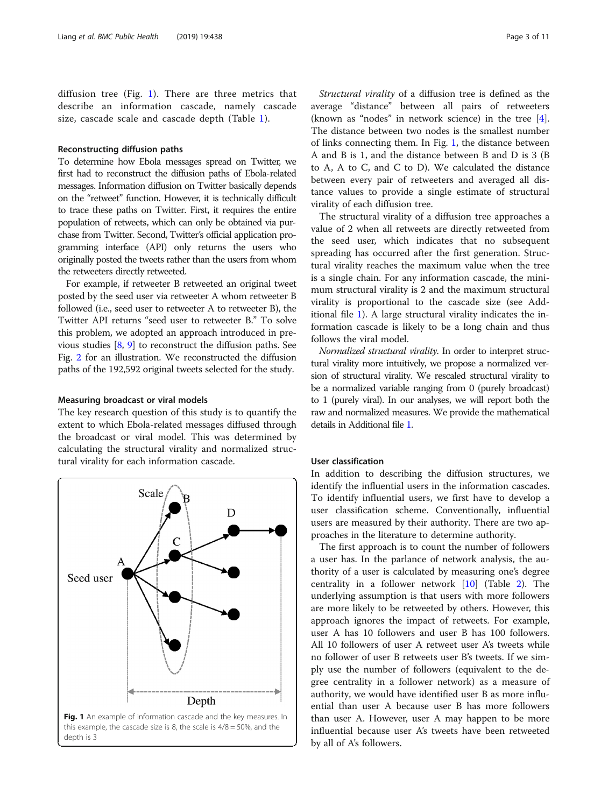diffusion tree (Fig. 1). There are three metrics that describe an information cascade, namely cascade size, cascade scale and cascade depth (Table [1](#page-3-0)).

## Reconstructing diffusion paths

To determine how Ebola messages spread on Twitter, we first had to reconstruct the diffusion paths of Ebola-related messages. Information diffusion on Twitter basically depends on the "retweet" function. However, it is technically difficult to trace these paths on Twitter. First, it requires the entire population of retweets, which can only be obtained via purchase from Twitter. Second, Twitter's official application programming interface (API) only returns the users who originally posted the tweets rather than the users from whom the retweeters directly retweeted.

For example, if retweeter B retweeted an original tweet posted by the seed user via retweeter A whom retweeter B followed (i.e., seed user to retweeter A to retweeter B), the Twitter API returns "seed user to retweeter B." To solve this problem, we adopted an approach introduced in previous studies [[8,](#page-10-0) [9\]](#page-10-0) to reconstruct the diffusion paths. See Fig. [2](#page-3-0) for an illustration. We reconstructed the diffusion paths of the 192,592 original tweets selected for the study.

## Measuring broadcast or viral models

The key research question of this study is to quantify the extent to which Ebola-related messages diffused through the broadcast or viral model. This was determined by calculating the structural virality and normalized structural virality for each information cascade.



Structural virality of a diffusion tree is defined as the average "distance" between all pairs of retweeters (known as "nodes" in network science) in the tree  $[4]$  $[4]$ . The distance between two nodes is the smallest number of links connecting them. In Fig. 1, the distance between A and B is 1, and the distance between B and D is 3 (B to A, A to C, and C to D). We calculated the distance between every pair of retweeters and averaged all distance values to provide a single estimate of structural virality of each diffusion tree.

The structural virality of a diffusion tree approaches a value of 2 when all retweets are directly retweeted from the seed user, which indicates that no subsequent spreading has occurred after the first generation. Structural virality reaches the maximum value when the tree is a single chain. For any information cascade, the minimum structural virality is 2 and the maximum structural virality is proportional to the cascade size (see Additional file [1\)](#page-9-0). A large structural virality indicates the information cascade is likely to be a long chain and thus follows the viral model.

Normalized structural virality. In order to interpret structural virality more intuitively, we propose a normalized version of structural virality. We rescaled structural virality to be a normalized variable ranging from 0 (purely broadcast) to 1 (purely viral). In our analyses, we will report both the raw and normalized measures. We provide the mathematical details in Additional file [1.](#page-9-0)

## User classification

In addition to describing the diffusion structures, we identify the influential users in the information cascades. To identify influential users, we first have to develop a user classification scheme. Conventionally, influential users are measured by their authority. There are two approaches in the literature to determine authority.

The first approach is to count the number of followers a user has. In the parlance of network analysis, the authority of a user is calculated by measuring one's degree centrality in a follower network [[10](#page-10-0)] (Table [2](#page-4-0)). The underlying assumption is that users with more followers are more likely to be retweeted by others. However, this approach ignores the impact of retweets. For example, user A has 10 followers and user B has 100 followers. All 10 followers of user A retweet user A's tweets while no follower of user B retweets user B's tweets. If we simply use the number of followers (equivalent to the degree centrality in a follower network) as a measure of authority, we would have identified user B as more influential than user A because user B has more followers than user A. However, user A may happen to be more influential because user A's tweets have been retweeted by all of A's followers.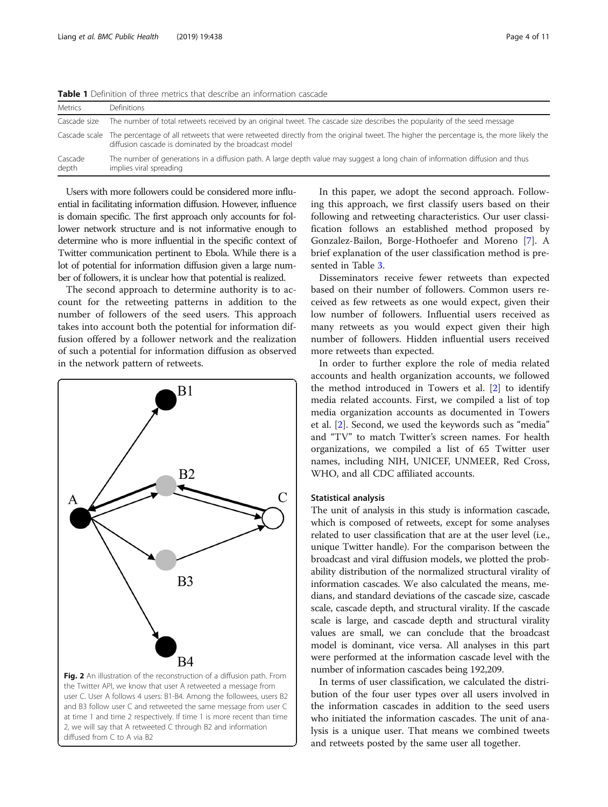| <b>Metrics</b>   | Definitions                                                                                                                                                                                                   |
|------------------|---------------------------------------------------------------------------------------------------------------------------------------------------------------------------------------------------------------|
| Cascade size     | The number of total retweets received by an original tweet. The cascade size describes the popularity of the seed message                                                                                     |
|                  | Cascade scale The percentage of all retweets that were retweeted directly from the original tweet. The higher the percentage is, the more likely the<br>diffusion cascade is dominated by the broadcast model |
| Cascade<br>depth | The number of generations in a diffusion path. A large depth value may suggest a long chain of information diffusion and thus<br>implies viral spreading                                                      |

<span id="page-3-0"></span>**Table 1** Definition of three metrics that describe an information cascade

Users with more followers could be considered more influential in facilitating information diffusion. However, influence is domain specific. The first approach only accounts for follower network structure and is not informative enough to determine who is more influential in the specific context of Twitter communication pertinent to Ebola. While there is a lot of potential for information diffusion given a large number of followers, it is unclear how that potential is realized.

The second approach to determine authority is to account for the retweeting patterns in addition to the number of followers of the seed users. This approach takes into account both the potential for information diffusion offered by a follower network and the realization of such a potential for information diffusion as observed in the network pattern of retweets.



and B3 follow user C and retweeted the same message from user C at time 1 and time 2 respectively. If time 1 is more recent than time 2, we will say that A retweeted C through B2 and information diffused from C to A via B2

In this paper, we adopt the second approach. Following this approach, we first classify users based on their following and retweeting characteristics. Our user classification follows an established method proposed by Gonzalez-Bailon, Borge-Hothoefer and Moreno [[7\]](#page-10-0). A brief explanation of the user classification method is presented in Table [3.](#page-4-0)

Disseminators receive fewer retweets than expected based on their number of followers. Common users received as few retweets as one would expect, given their low number of followers. Influential users received as many retweets as you would expect given their high number of followers. Hidden influential users received more retweets than expected.

In order to further explore the role of media related accounts and health organization accounts, we followed the method introduced in Towers et al. [[2\]](#page-10-0) to identify media related accounts. First, we compiled a list of top media organization accounts as documented in Towers et al. [[2\]](#page-10-0). Second, we used the keywords such as "media" and "TV" to match Twitter's screen names. For health organizations, we compiled a list of 65 Twitter user names, including NIH, UNICEF, UNMEER, Red Cross, WHO, and all CDC affiliated accounts.

## Statistical analysis

The unit of analysis in this study is information cascade, which is composed of retweets, except for some analyses related to user classification that are at the user level (i.e., unique Twitter handle). For the comparison between the broadcast and viral diffusion models, we plotted the probability distribution of the normalized structural virality of information cascades. We also calculated the means, medians, and standard deviations of the cascade size, cascade scale, cascade depth, and structural virality. If the cascade scale is large, and cascade depth and structural virality values are small, we can conclude that the broadcast model is dominant, vice versa. All analyses in this part were performed at the information cascade level with the number of information cascades being 192,209.

In terms of user classification, we calculated the distribution of the four user types over all users involved in the information cascades in addition to the seed users who initiated the information cascades. The unit of analysis is a unique user. That means we combined tweets and retweets posted by the same user all together.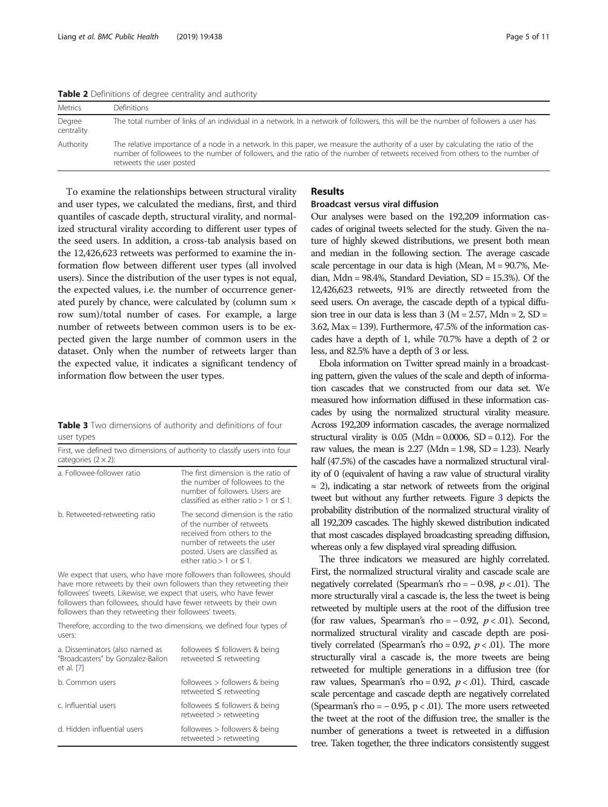<span id="page-4-0"></span>Table 2 Definitions of degree centrality and authority

| <b>Metrics</b>       | Definitions                                                                                                                                                                                                                                                                                    |
|----------------------|------------------------------------------------------------------------------------------------------------------------------------------------------------------------------------------------------------------------------------------------------------------------------------------------|
| Degree<br>centrality | The total number of links of an individual in a network. In a network of followers, this will be the number of followers a user has                                                                                                                                                            |
| Authority            | The relative importance of a node in a network. In this paper, we measure the authority of a user by calculating the ratio of the<br>number of followees to the number of followers, and the ratio of the number of retweets received from others to the number of<br>retweets the user posted |

To examine the relationships between structural virality and user types, we calculated the medians, first, and third quantiles of cascade depth, structural virality, and normalized structural virality according to different user types of the seed users. In addition, a cross-tab analysis based on the 12,426,623 retweets was performed to examine the information flow between different user types (all involved users). Since the distribution of the user types is not equal, the expected values, i.e. the number of occurrence generated purely by chance, were calculated by (column sum × row sum)/total number of cases. For example, a large number of retweets between common users is to be expected given the large number of common users in the dataset. Only when the number of retweets larger than the expected value, it indicates a significant tendency of information flow between the user types.

Table 3 Two dimensions of authority and definitions of four user types

| First, we defined two dimensions of authority to classify users into four<br>categories $(2 \times 2)$ : |                                                                                                                                                                                                     |  |  |
|----------------------------------------------------------------------------------------------------------|-----------------------------------------------------------------------------------------------------------------------------------------------------------------------------------------------------|--|--|
| a. Followee-follower ratio                                                                               | The first dimension is the ratio of<br>the number of followees to the<br>number of followers. Users are<br>classified as either ratio $> 1$ or $\leq 1$ .                                           |  |  |
| b. Retweeted-retweeting ratio                                                                            | The second dimension is the ratio<br>of the number of retweets<br>received from others to the<br>number of retweets the user<br>posted. Users are classified as<br>either ratio $> 1$ or $\leq 1$ . |  |  |

We expect that users, who have more followers than followees, should have more retweets by their own followers than they retweeting their followees' tweets. Likewise, we expect that users, who have fewer followers than followees, should have fewer retweets by their own followers than they retweeting their followees' tweets.

Therefore, according to the two dimensions, we defined four types of users:

| a. Disseminators (also named as<br>"Broadcasters" by Gonzalez-Bailon<br>et al. [7] | followees $\leq$ followers & being<br>retweeted ≤ retweeting |
|------------------------------------------------------------------------------------|--------------------------------------------------------------|
| b. Common users                                                                    | followees > followers & being<br>retweeted $\leq$ retweeting |
| c. Influential users                                                               | followees $\leq$ followers & being<br>retweeted > retweeting |
| d. Hidden influential users                                                        | followees $>$ followers & being<br>$retweeted$ > retweeting  |

## Results

## Broadcast versus viral diffusion

Our analyses were based on the 192,209 information cascades of original tweets selected for the study. Given the nature of highly skewed distributions, we present both mean and median in the following section. The average cascade scale percentage in our data is high (Mean, M = 90.7%, Median, Mdn = 98.4%, Standard Deviation, SD = 15.3%). Of the 12,426,623 retweets, 91% are directly retweeted from the seed users. On average, the cascade depth of a typical diffusion tree in our data is less than  $3 (M = 2.57, Mdn = 2, SD =$ 3.62, Max = 139). Furthermore, 47.5% of the information cascades have a depth of 1, while 70.7% have a depth of 2 or less, and 82.5% have a depth of 3 or less.

Ebola information on Twitter spread mainly in a broadcasting pattern, given the values of the scale and depth of information cascades that we constructed from our data set. We measured how information diffused in these information cascades by using the normalized structural virality measure. Across 192,209 information cascades, the average normalized structural virality is  $0.05$  (Mdn =  $0.0006$ , SD =  $0.12$ ). For the raw values, the mean is  $2.27$  (Mdn = 1.98, SD = 1.23). Nearly half (47.5%) of the cascades have a normalized structural virality of 0 (equivalent of having a raw value of structural virality  $\approx$  2), indicating a star network of retweets from the original tweet but without any further retweets. Figure [3](#page-5-0) depicts the probability distribution of the normalized structural virality of all 192,209 cascades. The highly skewed distribution indicated that most cascades displayed broadcasting spreading diffusion, whereas only a few displayed viral spreading diffusion.

The three indicators we measured are highly correlated. First, the normalized structural virality and cascade scale are negatively correlated (Spearman's rho =  $-0.98$ ,  $p < .01$ ). The more structurally viral a cascade is, the less the tweet is being retweeted by multiple users at the root of the diffusion tree (for raw values, Spearman's rho =  $-0.92$ ,  $p < .01$ ). Second, normalized structural virality and cascade depth are positively correlated (Spearman's rho = 0.92,  $p < .01$ ). The more structurally viral a cascade is, the more tweets are being retweeted for multiple generations in a diffusion tree (for raw values, Spearman's rho = 0.92,  $p < .01$ ). Third, cascade scale percentage and cascade depth are negatively correlated (Spearman's rho =  $-0.95$ , p < .01). The more users retweeted the tweet at the root of the diffusion tree, the smaller is the number of generations a tweet is retweeted in a diffusion tree. Taken together, the three indicators consistently suggest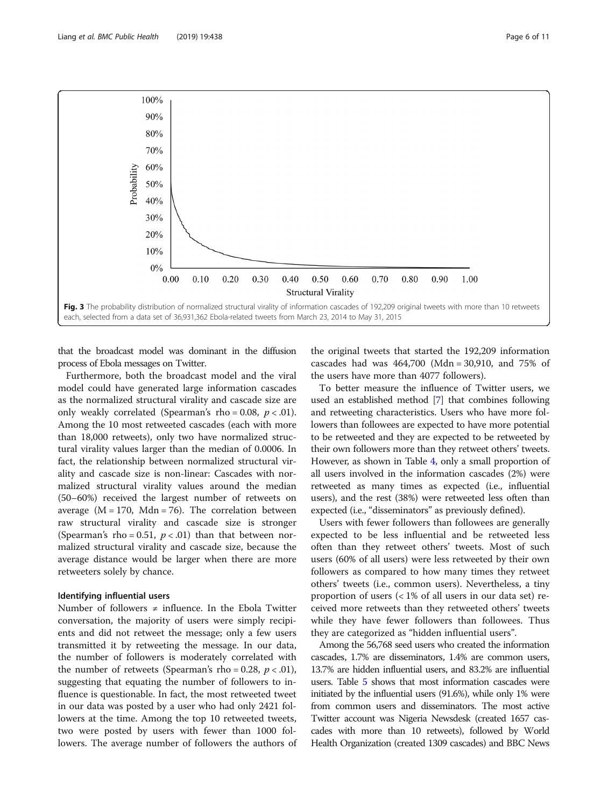that the broadcast model was dominant in the diffusion process of Ebola messages on Twitter.

Furthermore, both the broadcast model and the viral model could have generated large information cascades as the normalized structural virality and cascade size are only weakly correlated (Spearman's rho = 0.08,  $p < .01$ ). Among the 10 most retweeted cascades (each with more than 18,000 retweets), only two have normalized structural virality values larger than the median of 0.0006. In fact, the relationship between normalized structural virality and cascade size is non-linear: Cascades with normalized structural virality values around the median (50–60%) received the largest number of retweets on average  $(M = 170, Mdn = 76)$ . The correlation between raw structural virality and cascade size is stronger (Spearman's rho = 0.51,  $p < .01$ ) than that between normalized structural virality and cascade size, because the average distance would be larger when there are more retweeters solely by chance.

## Identifying influential users

Number of followers  $\neq$  influence. In the Ebola Twitter conversation, the majority of users were simply recipients and did not retweet the message; only a few users transmitted it by retweeting the message. In our data, the number of followers is moderately correlated with the number of retweets (Spearman's rho = 0.28,  $p < .01$ ), suggesting that equating the number of followers to influence is questionable. In fact, the most retweeted tweet in our data was posted by a user who had only 2421 followers at the time. Among the top 10 retweeted tweets, two were posted by users with fewer than 1000 followers. The average number of followers the authors of the original tweets that started the 192,209 information cascades had was 464,700 (Mdn = 30,910, and 75% of the users have more than 4077 followers).

To better measure the influence of Twitter users, we used an established method [\[7\]](#page-10-0) that combines following and retweeting characteristics. Users who have more followers than followees are expected to have more potential to be retweeted and they are expected to be retweeted by their own followers more than they retweet others' tweets. However, as shown in Table [4,](#page-6-0) only a small proportion of all users involved in the information cascades (2%) were retweeted as many times as expected (i.e., influential users), and the rest (38%) were retweeted less often than expected (i.e., "disseminators" as previously defined).

Users with fewer followers than followees are generally expected to be less influential and be retweeted less often than they retweet others' tweets. Most of such users (60% of all users) were less retweeted by their own followers as compared to how many times they retweet others' tweets (i.e., common users). Nevertheless, a tiny proportion of users (< 1% of all users in our data set) received more retweets than they retweeted others' tweets while they have fewer followers than followees. Thus they are categorized as "hidden influential users".

Among the 56,768 seed users who created the information cascades, 1.7% are disseminators, 1.4% are common users, 13.7% are hidden influential users, and 83.2% are influential users. Table [5](#page-6-0) shows that most information cascades were initiated by the influential users (91.6%), while only 1% were from common users and disseminators. The most active Twitter account was Nigeria Newsdesk (created 1657 cascades with more than 10 retweets), followed by World Health Organization (created 1309 cascades) and BBC News

<span id="page-5-0"></span>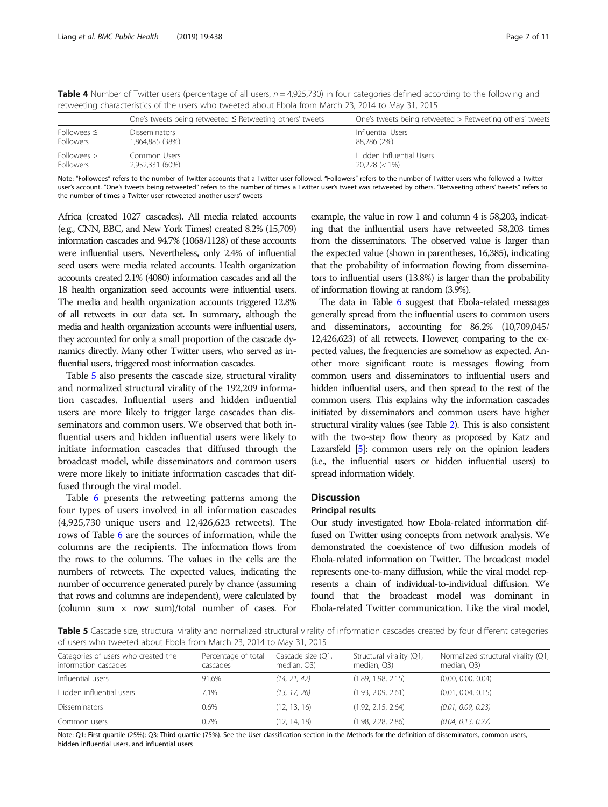|                  | One's tweets being retweeted $\leq$ Retweeting others' tweets | One's tweets being retweeted > Retweeting others' tweets |  |
|------------------|---------------------------------------------------------------|----------------------------------------------------------|--|
| Followees $\leq$ | <b>Disseminators</b>                                          | Influential Users                                        |  |
| <b>Followers</b> | 1.864.885 (38%)                                               | 88.286 (2%)                                              |  |
| Followees >      | Common Users                                                  | Hidden Influential Users                                 |  |
| <b>Followers</b> | 2,952,331 (60%)                                               | $20.228 \le 1\%$                                         |  |

<span id="page-6-0"></span>Table 4 Number of Twitter users (percentage of all users,  $n = 4.925,730$ ) in four categories defined according to the following and retweeting characteristics of the users who tweeted about Ebola from March 23, 2014 to May 31, 2015

Note: "Followees" refers to the number of Twitter accounts that a Twitter user followed. "Followers" refers to the number of Twitter users who followed a Twitter user's account. "One's tweets being retweeted" refers to the number of times a Twitter user's tweet was retweeted by others. "Retweeting others' tweets" refers to the number of times a Twitter user retweeted another users' tweets

Africa (created 1027 cascades). All media related accounts (e.g., CNN, BBC, and New York Times) created 8.2% (15,709) information cascades and 94.7% (1068/1128) of these accounts were influential users. Nevertheless, only 2.4% of influential seed users were media related accounts. Health organization accounts created 2.1% (4080) information cascades and all the 18 health organization seed accounts were influential users. The media and health organization accounts triggered 12.8% of all retweets in our data set. In summary, although the media and health organization accounts were influential users, they accounted for only a small proportion of the cascade dynamics directly. Many other Twitter users, who served as influential users, triggered most information cascades.

Table 5 also presents the cascade size, structural virality and normalized structural virality of the 192,209 information cascades. Influential users and hidden influential users are more likely to trigger large cascades than disseminators and common users. We observed that both influential users and hidden influential users were likely to initiate information cascades that diffused through the broadcast model, while disseminators and common users were more likely to initiate information cascades that diffused through the viral model.

Table [6](#page-7-0) presents the retweeting patterns among the four types of users involved in all information cascades (4,925,730 unique users and 12,426,623 retweets). The rows of Table [6](#page-7-0) are the sources of information, while the columns are the recipients. The information flows from the rows to the columns. The values in the cells are the numbers of retweets. The expected values, indicating the number of occurrence generated purely by chance (assuming that rows and columns are independent), were calculated by (column sum  $\times$  row sum)/total number of cases. For

example, the value in row 1 and column 4 is 58,203, indicating that the influential users have retweeted 58,203 times from the disseminators. The observed value is larger than the expected value (shown in parentheses, 16,385), indicating that the probability of information flowing from disseminators to influential users (13.8%) is larger than the probability of information flowing at random (3.9%).

The data in Table [6](#page-7-0) suggest that Ebola-related messages generally spread from the influential users to common users and disseminators, accounting for 86.2% (10,709,045/ 12,426,623) of all retweets. However, comparing to the expected values, the frequencies are somehow as expected. Another more significant route is messages flowing from common users and disseminators to influential users and hidden influential users, and then spread to the rest of the common users. This explains why the information cascades initiated by disseminators and common users have higher structural virality values (see Table [2](#page-4-0)). This is also consistent with the two-step flow theory as proposed by Katz and Lazarsfeld [\[5](#page-10-0)]: common users rely on the opinion leaders (i.e., the influential users or hidden influential users) to spread information widely.

## Discussion

## Principal results

Our study investigated how Ebola-related information diffused on Twitter using concepts from network analysis. We demonstrated the coexistence of two diffusion models of Ebola-related information on Twitter. The broadcast model represents one-to-many diffusion, while the viral model represents a chain of individual-to-individual diffusion. We found that the broadcast model was dominant in Ebola-related Twitter communication. Like the viral model,

Table 5 Cascade size, structural virality and normalized structural virality of information cascades created by four different categories of users who tweeted about Ebola from March 23, 2014 to May 31, 2015

| Categories of users who created the<br>information cascades | Percentage of total<br>cascades | Cascade size (Q1,<br>median, Q3) | Structural virality (Q1,<br>median, Q3) | Normalized structural virality (Q1,<br>median, Q3) |
|-------------------------------------------------------------|---------------------------------|----------------------------------|-----------------------------------------|----------------------------------------------------|
| Influential users                                           | 91.6%                           | (14, 21, 42)                     | (1.89, 1.98, 2.15)                      | (0.00, 0.00, 0.04)                                 |
| Hidden influential users                                    | 7.1%                            | (13, 17, 26)                     | (1.93, 2.09, 2.61)                      | (0.01, 0.04, 0.15)                                 |
| <b>Disseminators</b>                                        | 0.6%                            | (12, 13, 16)                     | (1.92, 2.15, 2.64)                      | (0.01, 0.09, 0.23)                                 |
| Common users                                                | 0.7%                            | (12, 14, 18)                     | (1.98, 2.28, 2.86)                      | (0.04, 0.13, 0.27)                                 |

Note: Q1: First quartile (25%); Q3: Third quartile (75%). See the User classification section in the Methods for the definition of disseminators, common users, hidden influential users, and influential users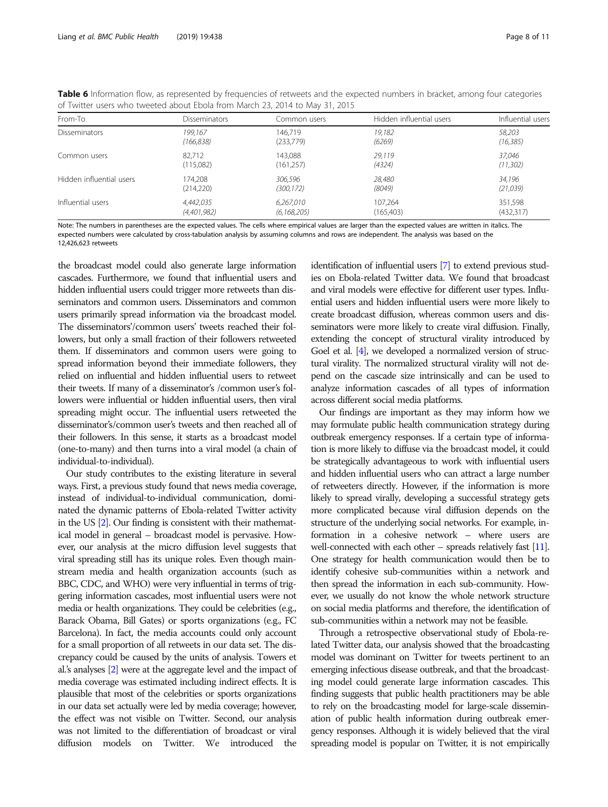| From-To                  | <b>Disseminators</b> | Common users  | Hidden influential users | Influential users |
|--------------------------|----------------------|---------------|--------------------------|-------------------|
| <b>Disseminators</b>     | 199.167              | 146.719       | 19,182                   | 58,203            |
|                          | (166, 838)           | (233,779)     | (6269)                   | (16, 385)         |
| Common users             | 82.712               | 143.088       | 29,119                   | 37.046            |
|                          | (115,082)            | (161, 257)    | (4324)                   | (11, 302)         |
| Hidden influential users | 174.208              | 306,596       | 28,480                   | 34,196            |
|                          | (214, 220)           | (300, 172)    | (8049)                   | (21, 039)         |
| Influential users        | 4,442,035            | 6,267,010     | 107.264                  | 351.598           |
|                          | (4,401,982)          | (6, 168, 205) | (165, 403)               | (432,317)         |

<span id="page-7-0"></span>Table 6 Information flow, as represented by frequencies of retweets and the expected numbers in bracket, among four categories of Twitter users who tweeted about Ebola from March 23, 2014 to May 31, 2015

Note: The numbers in parentheses are the expected values. The cells where empirical values are larger than the expected values are written in italics. The expected numbers were calculated by cross-tabulation analysis by assuming columns and rows are independent. The analysis was based on the 12,426,623 retweets

the broadcast model could also generate large information cascades. Furthermore, we found that influential users and hidden influential users could trigger more retweets than disseminators and common users. Disseminators and common users primarily spread information via the broadcast model. The disseminators'/common users' tweets reached their followers, but only a small fraction of their followers retweeted them. If disseminators and common users were going to spread information beyond their immediate followers, they relied on influential and hidden influential users to retweet their tweets. If many of a disseminator's /common user's followers were influential or hidden influential users, then viral spreading might occur. The influential users retweeted the disseminator's/common user's tweets and then reached all of their followers. In this sense, it starts as a broadcast model (one-to-many) and then turns into a viral model (a chain of individual-to-individual).

Our study contributes to the existing literature in several ways. First, a previous study found that news media coverage, instead of individual-to-individual communication, dominated the dynamic patterns of Ebola-related Twitter activity in the US [\[2](#page-10-0)]. Our finding is consistent with their mathematical model in general – broadcast model is pervasive. However, our analysis at the micro diffusion level suggests that viral spreading still has its unique roles. Even though mainstream media and health organization accounts (such as BBC, CDC, and WHO) were very influential in terms of triggering information cascades, most influential users were not media or health organizations. They could be celebrities (e.g., Barack Obama, Bill Gates) or sports organizations (e.g., FC Barcelona). In fact, the media accounts could only account for a small proportion of all retweets in our data set. The discrepancy could be caused by the units of analysis. Towers et al.'s analyses [[2](#page-10-0)] were at the aggregate level and the impact of media coverage was estimated including indirect effects. It is plausible that most of the celebrities or sports organizations in our data set actually were led by media coverage; however, the effect was not visible on Twitter. Second, our analysis was not limited to the differentiation of broadcast or viral diffusion models on Twitter. We introduced the

identification of influential users [\[7](#page-10-0)] to extend previous studies on Ebola-related Twitter data. We found that broadcast and viral models were effective for different user types. Influential users and hidden influential users were more likely to create broadcast diffusion, whereas common users and disseminators were more likely to create viral diffusion. Finally, extending the concept of structural virality introduced by Goel et al. [\[4](#page-10-0)], we developed a normalized version of structural virality. The normalized structural virality will not depend on the cascade size intrinsically and can be used to analyze information cascades of all types of information across different social media platforms.

Our findings are important as they may inform how we may formulate public health communication strategy during outbreak emergency responses. If a certain type of information is more likely to diffuse via the broadcast model, it could be strategically advantageous to work with influential users and hidden influential users who can attract a large number of retweeters directly. However, if the information is more likely to spread virally, developing a successful strategy gets more complicated because viral diffusion depends on the structure of the underlying social networks. For example, information in a cohesive network – where users are well-connected with each other – spreads relatively fast [\[11\]](#page-10-0). One strategy for health communication would then be to identify cohesive sub-communities within a network and then spread the information in each sub-community. However, we usually do not know the whole network structure on social media platforms and therefore, the identification of sub-communities within a network may not be feasible.

Through a retrospective observational study of Ebola-related Twitter data, our analysis showed that the broadcasting model was dominant on Twitter for tweets pertinent to an emerging infectious disease outbreak, and that the broadcasting model could generate large information cascades. This finding suggests that public health practitioners may be able to rely on the broadcasting model for large-scale dissemination of public health information during outbreak emergency responses. Although it is widely believed that the viral spreading model is popular on Twitter, it is not empirically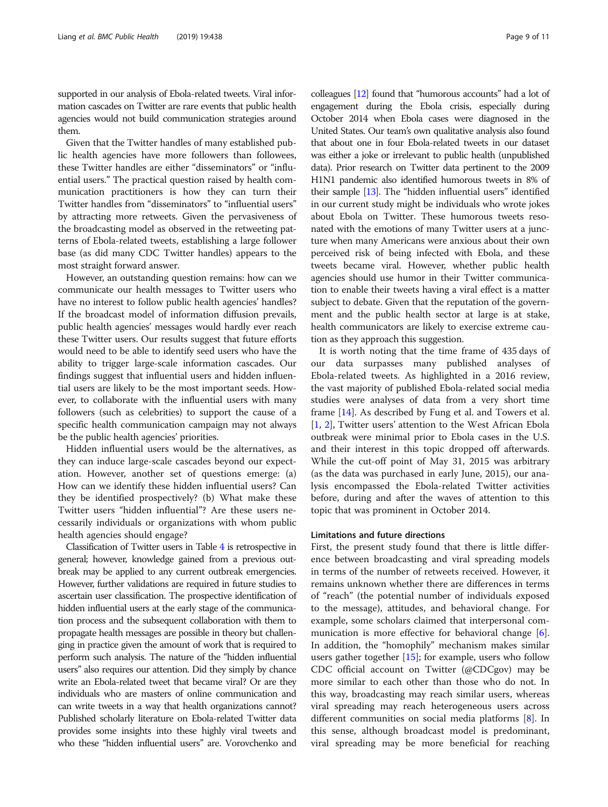supported in our analysis of Ebola-related tweets. Viral information cascades on Twitter are rare events that public health agencies would not build communication strategies around them.

Given that the Twitter handles of many established public health agencies have more followers than followees, these Twitter handles are either "disseminators" or "influential users." The practical question raised by health communication practitioners is how they can turn their Twitter handles from "disseminators" to "influential users" by attracting more retweets. Given the pervasiveness of the broadcasting model as observed in the retweeting patterns of Ebola-related tweets, establishing a large follower base (as did many CDC Twitter handles) appears to the most straight forward answer.

However, an outstanding question remains: how can we communicate our health messages to Twitter users who have no interest to follow public health agencies' handles? If the broadcast model of information diffusion prevails, public health agencies' messages would hardly ever reach these Twitter users. Our results suggest that future efforts would need to be able to identify seed users who have the ability to trigger large-scale information cascades. Our findings suggest that influential users and hidden influential users are likely to be the most important seeds. However, to collaborate with the influential users with many followers (such as celebrities) to support the cause of a specific health communication campaign may not always be the public health agencies' priorities.

Hidden influential users would be the alternatives, as they can induce large-scale cascades beyond our expectation. However, another set of questions emerge: (a) How can we identify these hidden influential users? Can they be identified prospectively? (b) What make these Twitter users "hidden influential"? Are these users necessarily individuals or organizations with whom public health agencies should engage?

Classification of Twitter users in Table [4](#page-6-0) is retrospective in general; however, knowledge gained from a previous outbreak may be applied to any current outbreak emergencies. However, further validations are required in future studies to ascertain user classification. The prospective identification of hidden influential users at the early stage of the communication process and the subsequent collaboration with them to propagate health messages are possible in theory but challenging in practice given the amount of work that is required to perform such analysis. The nature of the "hidden influential users" also requires our attention. Did they simply by chance write an Ebola-related tweet that became viral? Or are they individuals who are masters of online communication and can write tweets in a way that health organizations cannot? Published scholarly literature on Ebola-related Twitter data provides some insights into these highly viral tweets and who these "hidden influential users" are. Vorovchenko and

colleagues [\[12\]](#page-10-0) found that "humorous accounts" had a lot of engagement during the Ebola crisis, especially during October 2014 when Ebola cases were diagnosed in the United States. Our team's own qualitative analysis also found that about one in four Ebola-related tweets in our dataset was either a joke or irrelevant to public health (unpublished data). Prior research on Twitter data pertinent to the 2009 H1N1 pandemic also identified humorous tweets in 8% of their sample [\[13](#page-10-0)]. The "hidden influential users" identified in our current study might be individuals who wrote jokes about Ebola on Twitter. These humorous tweets resonated with the emotions of many Twitter users at a juncture when many Americans were anxious about their own perceived risk of being infected with Ebola, and these tweets became viral. However, whether public health agencies should use humor in their Twitter communication to enable their tweets having a viral effect is a matter subject to debate. Given that the reputation of the government and the public health sector at large is at stake, health communicators are likely to exercise extreme caution as they approach this suggestion.

It is worth noting that the time frame of 435 days of our data surpasses many published analyses of Ebola-related tweets. As highlighted in a 2016 review, the vast majority of published Ebola-related social media studies were analyses of data from a very short time frame [\[14](#page-10-0)]. As described by Fung et al. and Towers et al. [[1,](#page-10-0) [2](#page-10-0)], Twitter users' attention to the West African Ebola outbreak were minimal prior to Ebola cases in the U.S. and their interest in this topic dropped off afterwards. While the cut-off point of May 31, 2015 was arbitrary (as the data was purchased in early June, 2015), our analysis encompassed the Ebola-related Twitter activities before, during and after the waves of attention to this topic that was prominent in October 2014.

## Limitations and future directions

First, the present study found that there is little difference between broadcasting and viral spreading models in terms of the number of retweets received. However, it remains unknown whether there are differences in terms of "reach" (the potential number of individuals exposed to the message), attitudes, and behavioral change. For example, some scholars claimed that interpersonal com-munication is more effective for behavioral change [\[6](#page-10-0)]. In addition, the "homophily" mechanism makes similar users gather together [\[15](#page-10-0)]; for example, users who follow CDC official account on Twitter (@CDCgov) may be more similar to each other than those who do not. In this way, broadcasting may reach similar users, whereas viral spreading may reach heterogeneous users across different communities on social media platforms [[8\]](#page-10-0). In this sense, although broadcast model is predominant, viral spreading may be more beneficial for reaching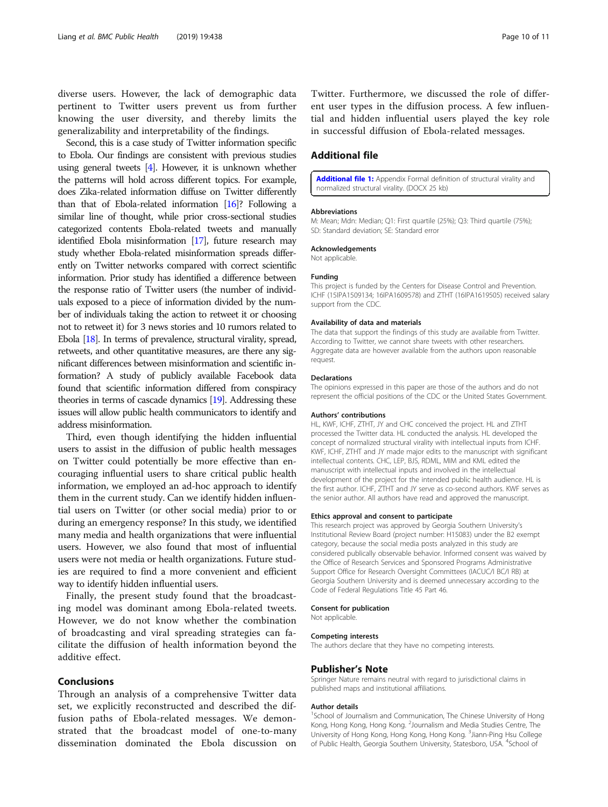<span id="page-9-0"></span>diverse users. However, the lack of demographic data pertinent to Twitter users prevent us from further knowing the user diversity, and thereby limits the generalizability and interpretability of the findings.

Second, this is a case study of Twitter information specific to Ebola. Our findings are consistent with previous studies using general tweets [\[4](#page-10-0)]. However, it is unknown whether the patterns will hold across different topics. For example, does Zika-related information diffuse on Twitter differently than that of Ebola-related information [\[16](#page-10-0)]? Following a similar line of thought, while prior cross-sectional studies categorized contents Ebola-related tweets and manually identified Ebola misinformation [\[17\]](#page-10-0), future research may study whether Ebola-related misinformation spreads differently on Twitter networks compared with correct scientific information. Prior study has identified a difference between the response ratio of Twitter users (the number of individuals exposed to a piece of information divided by the number of individuals taking the action to retweet it or choosing not to retweet it) for 3 news stories and 10 rumors related to Ebola [\[18](#page-10-0)]. In terms of prevalence, structural virality, spread, retweets, and other quantitative measures, are there any significant differences between misinformation and scientific information? A study of publicly available Facebook data found that scientific information differed from conspiracy theories in terms of cascade dynamics [\[19](#page-10-0)]. Addressing these issues will allow public health communicators to identify and address misinformation.

Third, even though identifying the hidden influential users to assist in the diffusion of public health messages on Twitter could potentially be more effective than encouraging influential users to share critical public health information, we employed an ad-hoc approach to identify them in the current study. Can we identify hidden influential users on Twitter (or other social media) prior to or during an emergency response? In this study, we identified many media and health organizations that were influential users. However, we also found that most of influential users were not media or health organizations. Future studies are required to find a more convenient and efficient way to identify hidden influential users.

Finally, the present study found that the broadcasting model was dominant among Ebola-related tweets. However, we do not know whether the combination of broadcasting and viral spreading strategies can facilitate the diffusion of health information beyond the additive effect.

## Conclusions

Through an analysis of a comprehensive Twitter data set, we explicitly reconstructed and described the diffusion paths of Ebola-related messages. We demonstrated that the broadcast model of one-to-many dissemination dominated the Ebola discussion on

Twitter. Furthermore, we discussed the role of different user types in the diffusion process. A few influential and hidden influential users played the key role in successful diffusion of Ebola-related messages.

## Additional file

[Additional file 1:](https://doi.org/10.1186/s12889-019-6747-8) Appendix Formal definition of structural virality and normalized structural virality. (DOCX 25 kb)

#### Abbreviations

M: Mean; Mdn: Median; Q1: First quartile (25%); Q3: Third quartile (75%); SD: Standard deviation; SE: Standard error

## Acknowledgements

Not applicable.

### Funding

This project is funded by the Centers for Disease Control and Prevention. ICHF (15IPA1509134; 16IPA1609578) and ZTHT (16IPA1619505) received salary support from the CDC.

### Availability of data and materials

The data that support the findings of this study are available from Twitter. According to Twitter, we cannot share tweets with other researchers. Aggregate data are however available from the authors upon reasonable request.

#### Declarations

The opinions expressed in this paper are those of the authors and do not represent the official positions of the CDC or the United States Government.

#### Authors' contributions

HL, KWF, ICHF, ZTHT, JY and CHC conceived the project. HL and ZTHT processed the Twitter data. HL conducted the analysis. HL developed the concept of normalized structural virality with intellectual inputs from ICHF. KWF, ICHF, ZTHT and JY made major edits to the manuscript with significant intellectual contents. CHC, LEP, BJS, RDML, MIM and KML edited the manuscript with intellectual inputs and involved in the intellectual development of the project for the intended public health audience. HL is the first author. ICHF, ZTHT and JY serve as co-second authors. KWF serves as the senior author. All authors have read and approved the manuscript.

#### Ethics approval and consent to participate

This research project was approved by Georgia Southern University's Institutional Review Board (project number: H15083) under the B2 exempt category, because the social media posts analyzed in this study are considered publically observable behavior. Informed consent was waived by the Office of Research Services and Sponsored Programs Administrative Support Office for Research Oversight Committees (IACUC/I BC/I RB) at Georgia Southern University and is deemed unnecessary according to the Code of Federal Regulations Title 45 Part 46.

## Consent for publication

Not applicable.

#### Competing interests

The authors declare that they have no competing interests.

### Publisher's Note

Springer Nature remains neutral with regard to jurisdictional claims in published maps and institutional affiliations.

### Author details

<sup>1</sup>School of Journalism and Communication, The Chinese University of Hong Kong, Hong Kong, Hong Kong. <sup>2</sup> Journalism and Media Studies Centre, The University of Hong Kong, Hong Kong, Hong Kong. <sup>3</sup> Jiann-Ping Hsu College of Public Health, Georgia Southern University, Statesboro, USA. <sup>4</sup>School of